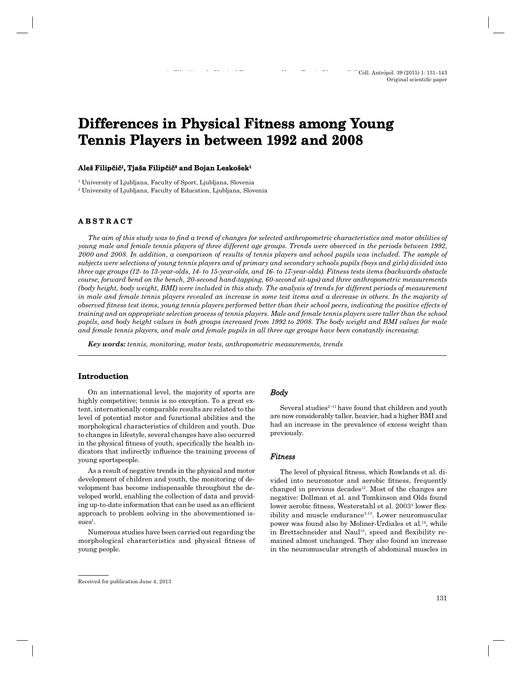# **Differences in Physical Fitness among Young Tennis Players in between 1992 and 2008**

#### $\mathbf{A}$ leš Filipčič<sup>1</sup>, Tjaša Filipčič<sup>2</sup> and Bojan Leskošek<sup>1</sup>

1 University of Ljubljana, Faculty of Sport, Ljubljana, Slovenia

2 University of Ljubljana, Faculty of Education, Ljubljana, Slovenia

## **A B S T R A C T ABSTRACT**

*The aim of this study was to find a trend of changes for selected anthropometric characteristics and motor abilities of young male and female tennis players of three different age groups. Trends were observed in the periods between 1992, 2000 and 2008. In addition, a comparison of results of tennis players and school pupils was included. The sample of subjects were selections of young tennis players and of primary and secondary schools pupils (boys and girls) divided into three age groups (12- to 13-year-olds, 14- to 15-year-olds, and 16- to 17-year-olds). Fitness tests items (backwards obstacle course, forward bend on the bench, 20-second hand-tapping, 60-second sit-ups) and three anthropometric measurements (body height, body weight, BMI) were included in this study. The analysis of trends for different periods of measurement in male and female tennis players revealed an increase in some test items and a decrease in others. In the majority of observed fi tness test items, young tennis players performed better than their school peers, indicating the positive effects of training and an appropriate selection process of tennis players. Male and female tennis players were taller than the school pupils, and body height values in both groups increased from 1992 to 2008. The body weight and BMI values for male and female tennis players, and male and female pupils in all three age groups have been constantly increasing.*

*Key words: tennis, monitoring, motor tests, anthropometric measurements, trends*

## **Introduction**

On an international level, the majority of sports are highly competitive; tennis is no exception. To a great extent, internationally comparable results are related to the level of potential motor and functional abilities and the morphological characteristics of children and youth. Due to changes in lifestyle, several changes have also occurred in the physical fitness of youth, specifically the health indicators that indirectly influence the training process of young sportspeople.

As a result of negative trends in the physical and motor development of children and youth, the monitoring of development has become indispensable throughout the developed world, enabling the collection of data and providing up-to-date information that can be used as an efficient approach to problem solving in the abovementioned is $sues<sup>1</sup>$ .

Numerous studies have been carried out regarding the morphological characteristics and physical fitness of young people.

## *Body*

Several studies $2^{-11}$  have found that children and youth are now considerably taller, heavier, had a higher BMI and had an increase in the prevalence of excess weight than previously.

## *Fitness*

The level of physical fitness, which Rowlands et al. divided into neuromotor and aerobic fitness, frequently changed in previous decades $12$ . Most of the changes are negative: Dollman et al. and Tomkinson and Olds found lower aerobic fitness, Westerstahl et al. 2003<sup>4</sup> lower flexibility and muscle endurance<sup>3,13</sup>. Lower neuromuscular power was found also by Moliner-Urdiales et al.<sup>14</sup>, while in Brettschneider and Naul<sup>15</sup>, speed and flexibility remained almost unchanged. They also found an increase in the neuromuscular strength of abdominal muscles in

Received for publication June 4, 2013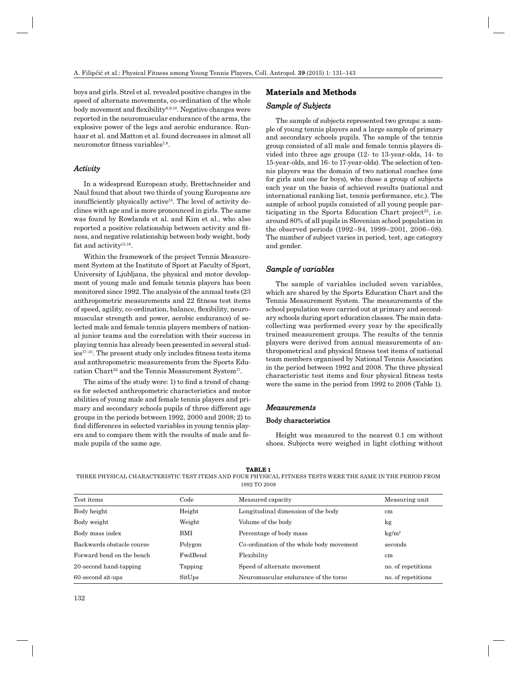boys and girls. Strel et al. revealed positive changes in the speed of alternate movements, co-ordination of the whole body movement and flexibility<sup>6,9,10</sup>. Negative changes were reported in the neuromuscular endurance of the arms, the explosive power of the legs and aerobic endurance. Runhaar et al. and Matton et al. found decreases in almost all neuromotor fitness variables $7,8$ .

#### *Activity ctivity*

In a widespread European study, Brettschneider and Naul found that about two thirds of young Europeans are insufficiently physically active<sup>15</sup>. The level of activity declines with age and is more pronounced in girls. The same was found by Rowlands et al. and Kim et al., who also reported a positive relationship between activity and fitness, and negative relationship between body weight, body fat and activity $12,16$ .

Within the framework of the project Tennis Measurement System at the Institute of Sport at Faculty of Sport, University of Ljubljana, the physical and motor development of young male and female tennis players has been monitored since 1992. The analysis of the annual tests (23 anthropometric measurements and 22 fitness test items of speed, agility, co-ordination, balance, flexibility, neuromuscular strength and power, aerobic endurance) of selected male and female tennis players members of national junior teams and the correlation with their success in playing tennis has already been presented in several stud $ies<sup>17-21</sup>$ . The present study only includes fitness tests items and anthropometric measurements from the Sports Education Chart<sup>22</sup> and the Tennis Measurement System<sup>17</sup>.

The aims of the study were: 1) to find a trend of changes for selected anthropometric characteristics and motor abilities of young male and female tennis players and primary and secondary schools pupils of three different age groups in the periods between 1992, 2000 and 2008; 2) to find differences in selected variables in young tennis players and to compare them with the results of male and female pupils of the same age.

## **Materials and Methods aterials**

#### *Sample of Subjects ample*

The sample of subjects represented two groups: a sample of young tennis players and a large sample of primary and secondary schools pupils. The sample of the tennis group consisted of all male and female tennis players divided into three age groups (12- to 13-year-olds, 14- to 15-year-olds, and 16- to 17-year-olds). The selection of tennis players was the domain of two national coaches (one for girls and one for boys), who chose a group of subjects each year on the basis of achieved results (national and international ranking list, tennis performance, etc.). The sample of school pupils consisted of all young people participating in the Sports Education Chart project<sup>22</sup>, i.e. around 80% of all pupils in Slovenian school population in the observed periods (1992–94, 1999–2001, 2006–08). The number of subject varies in period, test, age category and gender.

#### *Sample of variables ample*

The sample of variables included seven variables, which are shared by the Sports Education Chart and the Tennis Measurement System. The measurements of the school population were carried out at primary and secondary schools during sport education classes. The main datacollecting was performed every year by the specifically trained measurement groups. The results of the tennis players were derived from annual measurements of anthropometrical and physical fitness test items of national team members organised by National Tennis Association in the period between 1992 and 2008. The three physical characteristic test items and four physical fitness tests were the same in the period from 1992 to 2008 (Table 1).

#### *Measurements easurements*

#### Body characteristics

Height was measured to the nearest 0.1 cm without shoes. Subjects were weighed in light clothing without

**TABLE 1**

THREE PHYSICAL CHARACTERISTIC TEST ITEMS AND FOUR PHYSICAL FITNESS TESTS WERE THE SAME IN THE PERIOD FROM 1992 TO 2008

| Test items                | Code       | Measured capacity                        | Measuring unit     |
|---------------------------|------------|------------------------------------------|--------------------|
| Body height               | Height     | Longitudinal dimension of the body       | $\rm cm$           |
| Body weight               | Weight     | Volume of the body                       | kg                 |
| Body mass index           | <b>BMI</b> | Percentage of body mass                  | $\text{kg/m}^2$    |
| Backwards obstacle course | Polygon    | Co-ordination of the whole body movement | seconds            |
| Forward bend on the bench | FwdBend    | Flexibility                              | $\rm cm$           |
| 20-second hand-tapping    | Tapping    | Speed of alternate movement              | no. of repetitions |
| 60-second sit-ups         | SitUps     | Neuromuscular endurance of the torso     | no. of repetitions |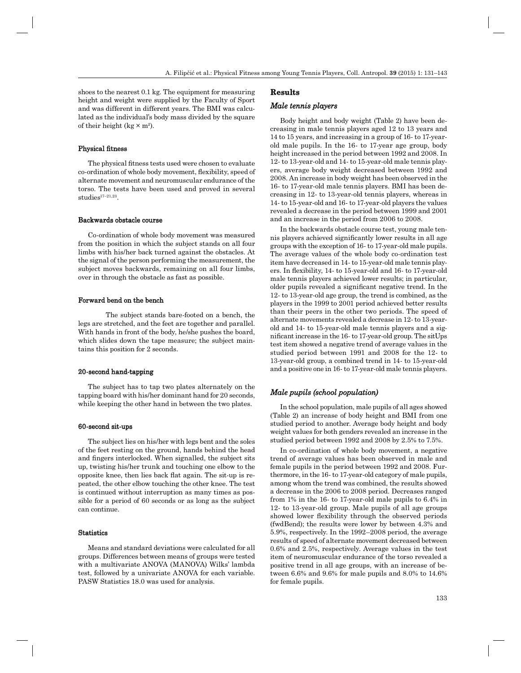shoes to the nearest 0.1 kg. The equipment for measuring height and weight were supplied by the Faculty of Sport and was different in different years. The BMI was calculated as the individual's body mass divided by the square of their height ( $kg \times m^2$ ).

#### Physical fitness

The physical fitness tests used were chosen to evaluate co-ordination of whole body movement, flexibility, speed of alternate movement and neuromuscular endurance of the torso. The tests have been used and proved in several studies17–21,23.

#### Backwards obstacle course

Co-ordination of whole body movement was measured from the position in which the subject stands on all four limbs with his/her back turned against the obstacles. At the signal of the person performing the measurement, the subject moves backwards, remaining on all four limbs, over in through the obstacle as fast as possible.

#### Forward bend on the bench

 The subject stands bare-footed on a bench, the legs are stretched, and the feet are together and parallel. With hands in front of the body, he/she pushes the board, which slides down the tape measure; the subject maintains this position for 2 seconds.

#### 20-second hand-tapping

The subject has to tap two plates alternately on the tapping board with his/her dominant hand for 20 seconds, while keeping the other hand in between the two plates.

#### 60-second sit-ups

The subject lies on his/her with legs bent and the soles of the feet resting on the ground, hands behind the head and fingers interlocked. When signalled, the subject sits up, twisting his/her trunk and touching one elbow to the opposite knee, then lies back flat again. The sit-up is repeated, the other elbow touching the other knee. The test is continued without interruption as many times as possible for a period of 60 seconds or as long as the subject can continue.

#### Statistics

Means and standard deviations were calculated for all groups. Differences between means of groups were tested with a multivariate ANOVA (MANOVA) Wilks' lambda test, followed by a univariate ANOVA for each variable. PASW Statistics 18.0 was used for analysis.

#### **Results**

#### *Male tennis players ale*

Body height and body weight (Table 2) have been decreasing in male tennis players aged 12 to 13 years and 14 to 15 years, and increasing in a group of 16- to 17-yearold male pupils. In the 16- to 17-year age group, body height increased in the period between 1992 and 2008. In 12- to 13-year-old and 14- to 15-year-old male tennis players, average body weight decreased between 1992 and 2008. An increase in body weight has been observed in the 16- to 17-year-old male tennis players. BMI has been decreasing in 12- to 13-year-old tennis players, whereas in 14- to 15-year-old and 16- to 17-year-old players the values revealed a decrease in the period between 1999 and 2001 and an increase in the period from 2006 to 2008.

In the backwards obstacle course test, young male tennis players achieved significantly lower results in all age groups with the exception of 16- to 17-year-old male pupils. The average values of the whole body co-ordination test item have decreased in 14- to 15-year-old male tennis players. In flexibility, 14- to 15-year-old and 16- to 17-year-old male tennis players achieved lower results; in particular, older pupils revealed a significant negative trend. In the 12- to 13-year-old age group, the trend is combined, as the players in the 1999 to 2001 period achieved better results than their peers in the other two periods. The speed of alternate movements revealed a decrease in 12- to 13-yearold and 14- to 15-year-old male tennis players and a significant increase in the 16- to 17-year-old group. The sitUps test item showed a negative trend of average values in the studied period between 1991 and 2008 for the 12- to 13-year-old group, a combined trend in 14- to 15-year-old and a positive one in 16- to 17-year-old male tennis players.

#### *Male pupils (school population) ale population)*

In the school population, male pupils of all ages showed (Table 2) an increase of body height and BMI from one studied period to another. Average body height and body weight values for both genders revealed an increase in the studied period between 1992 and 2008 by 2.5% to 7.5%.

In co-ordination of whole body movement, a negative trend of average values has been observed in male and female pupils in the period between 1992 and 2008. Furthermore, in the 16- to 17-year-old category of male pupils, among whom the trend was combined, the results showed a decrease in the 2006 to 2008 period. Decreases ranged from 1% in the 16- to 17-year-old male pupils to 6.4% in 12- to 13-year-old group. Male pupils of all age groups showed lower flexibility through the observed periods (fwdBend); the results were lower by between 4.3% and 5.9%, respectively. In the 1992–2008 period, the average results of speed of alternate movement decreased between 0.6% and 2.5%, respectively. Average values in the test item of neuromuscular endurance of the torso revealed a positive trend in all age groups, with an increase of between 6.6% and 9.6% for male pupils and 8.0% to 14.6% for female pupils.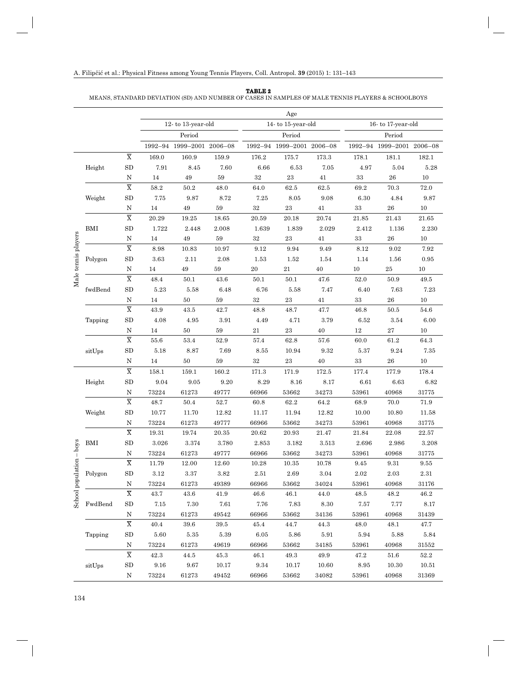| TABLE | 2 |
|-------|---|
|       |   |

#### MEANS, STANDARD DEVIATION (SD) AND NUMBER OF CASES IN SAMPLES OF MALE TENNIS PLAYERS & SCHOOLBOYS

|                                                      |         |                                    |          |                           |          |                    | Age                       |        |                   |                           |          |
|------------------------------------------------------|---------|------------------------------------|----------|---------------------------|----------|--------------------|---------------------------|--------|-------------------|---------------------------|----------|
|                                                      |         |                                    |          | 12-to 13-year-old         |          | 14- to 15-year-old |                           |        | 16-to 17-year-old |                           |          |
|                                                      |         |                                    | Period   |                           |          |                    | Period                    |        |                   | Period                    |          |
|                                                      |         |                                    |          | 1992-94 1999-2001 2006-08 |          |                    | 1992-94 1999-2001 2006-08 |        |                   | 1992-94 1999-2001 2006-08 |          |
|                                                      |         | $\overline{\textbf{X}}$            | 169.0    | 160.9                     | 159.9    | 176.2              | 175.7                     | 173.3  | 178.1             | 181.1                     | 182.1    |
|                                                      | Height  | ${\rm SD}$                         | 7.91     | 8.45                      | 7.60     | 6.66               | 6.53                      | 7.05   | 4.97              | 5.04                      | 5.28     |
|                                                      |         | N                                  | 14       | 49                        | 59       | $32\,$             | 23                        | 41     | 33                | 26                        | 10       |
|                                                      |         | $\overline{\text{X}}$              | $58.2\,$ | $50.2\,$                  | 48.0     | 64.0               | $62.5\,$                  | 62.5   | 69.2              | 70.3                      | $72.0\,$ |
|                                                      | Weight  | ${\rm SD}$                         | 7.75     | 9.87                      | 8.72     | 7.25               | 8.05                      | 9.08   | 6.30              | 4.84                      | 9.87     |
|                                                      |         | $\mathbf N$                        | 14       | 49                        | $59\,$   | 32                 | $\bf 23$                  | 41     | $33\,$            | ${\bf 26}$                | 10       |
|                                                      |         | $\overline{\textbf{X}}$            | 20.29    | 19.25                     | 18.65    | 20.59              | 20.18                     | 20.74  | 21.85             | 21.43                     | 21.65    |
|                                                      | BMI     | ${\rm SD}$                         | 1.722    | 2.448                     | 2.008    | 1.639              | 1.839                     | 2.029  | 2.412             | 1.136                     | 2.230    |
| Male tennis players                                  |         | $\mathbf N$                        | 14       | 49                        | 59       | $32\,$             | $\bf 23$                  | 41     | $33\,$            | ${\bf 26}$                | 10       |
|                                                      |         | $\overline{\textbf{X}}$            | 8.98     | 10.83                     | 10.97    | 9.12               | 9.94                      | 9.49   | 8.12              | 9.02                      | 7.92     |
|                                                      | Polygon | ${\rm SD}$                         | $3.63\,$ | 2.11                      | 2.08     | 1.53               | 1.52                      | 1.54   | 1.14              | 1.56                      | 0.95     |
|                                                      |         | N                                  | 14       | 49                        | 59       | 20                 | 21                        | 40     | 10                | 25                        | 10       |
|                                                      |         | $\overline{\textbf{X}}$            | 48.4     | 50.1                      | 43.6     | 50.1               | 50.1                      | 47.6   | 52.0              | 50.9                      | 49.5     |
|                                                      | fwdBend | ${\rm SD}$                         | 5.23     | 5.58                      | 6.48     | 6.76               | 5.58                      | 7.47   | 6.40              | 7.63                      | 7.23     |
|                                                      |         | $\mathbf N$                        | 14       | 50                        | $59\,$   | $32\,$             | $\bf 23$                  | 41     | $33\,$            | ${\bf 26}$                | $10\,$   |
| sko<br>$\overline{\phantom{a}}$<br>School population |         | $\overline{\overline{\mathbf{X}}}$ | 43.9     | 43.5                      | 42.7     | 48.8               | 48.7                      | 47.7   | 46.8              | 50.5                      | 54.6     |
|                                                      | Tapping | SD                                 | 4.08     | 4.95                      | 3.91     | 4.49               | 4.71                      | 3.79   | 6.52              | 3.54                      | 6.00     |
|                                                      |         | $\mathbf N$                        | 14       | $50\,$                    | $59\,$   | $21\,$             | $\bf 23$                  | $40\,$ | $12\,$            | $\sqrt{27}$               | $10\,$   |
|                                                      |         | $\overline{\textbf{X}}$            | $55.6\,$ | 53.4                      | 52.9     | 57.4               | 62.8                      | 57.6   | 60.0              | 61.2                      | 64.3     |
|                                                      | sitUps  | ${\rm SD}$                         | 5.18     | 8.87                      | 7.69     | 8.55               | 10.94                     | 9.32   | 5.37              | 9.24                      | 7.35     |
|                                                      |         | N                                  | 14       | 50                        | 59       | 32                 | $\bf 23$                  | 40     | $33\,$            | 26                        | 10       |
|                                                      |         | $\overline{\textbf{X}}$            | 158.1    | 159.1                     | 160.2    | 171.3              | 171.9                     | 172.5  | 177.4             | 177.9                     | 178.4    |
|                                                      | Height  | SD                                 | 9.04     | 9.05                      | 9.20     | 8.29               | 8.16                      | 8.17   | 6.61              | 6.63                      | 6.82     |
|                                                      |         | N                                  | 73224    | 61273                     | 49777    | 66966              | 53662                     | 34273  | 53961             | 40968                     | 31775    |
|                                                      |         | $\overline{\textbf{X}}$            | 48.7     | 50.4                      | $52.7\,$ | 60.8               | 62.2                      | 64.2   | 68.9              | 70.0                      | 71.9     |
|                                                      | Weight  | ${\rm SD}$                         | 10.77    | 11.70                     | 12.82    | 11.17              | 11.94                     | 12.82  | 10.00             | 10.80                     | 11.58    |
|                                                      |         | N                                  | 73224    | 61273                     | 49777    | 66966              | 53662                     | 34273  | 53961             | 40968                     | 31775    |
|                                                      |         | $\overline{\textbf{X}}$            | 19.31    | 19.74                     | 20.35    | 20.62              | 20.93                     | 21.47  | 21.84             | 22.08                     | 22.57    |
|                                                      | BMI     | ${\rm SD}$                         | 3.026    | $3.374\,$                 | 3.780    | 2.853              | 3.182                     | 3.513  | 2.696             | 2.986                     | 3.208    |
|                                                      |         | Ν                                  | 73224    | 61273                     | 49777    | 66966              | 53662                     | 34273  | 53961             | 40968                     | 31775    |
|                                                      |         | $\overline{\text{X}}$              | 11.79    | 12.00                     | 12.60    | 10.28              | 10.35                     | 10.78  | 9.45              | 9.31                      | 9.55     |
|                                                      | Polygon | ${\rm SD}$                         | $3.12\,$ | 3.37                      | 3.82     | $2.51\,$           | $2.69\,$                  | 3.04   | $2.02\,$          | $2.03\,$                  | $2.31\,$ |
|                                                      |         | N                                  | 73224    | 61273                     | 49389    | 66966              | 53662                     | 34024  | 53961             | 40968                     | 31176    |
|                                                      |         | $\overline{\textbf{X}}$            | 43.7     | 43.6                      | 41.9     | 46.6               | 46.1                      | 44.0   | 48.5              | 48.2                      | 46.2     |
|                                                      | FwdBend | SD                                 | 7.15     | 7.30                      | 7.61     | 7.76               | 7.83                      | 8.30   | 7.57              | 7.77                      | 8.17     |
|                                                      |         | N                                  | 73224    | 61273                     | 49542    | 66966              | 53662                     | 34136  | 53961             | 40968                     | 31439    |
|                                                      |         | $\overline{\text{X}}$              | 40.4     | 39.6                      | 39.5     | 45.4               | 44.7                      | 44.3   | 48.0              | 48.1                      | 47.7     |
|                                                      | Tapping | SD                                 | 5.60     | 5.35                      | 5.39     | 6.05               | 5.86                      | 5.91   | 5.94              | 5.88                      | 5.84     |
|                                                      |         | N                                  | 73224    | 61273                     | 49619    | 66966              | 53662                     | 34185  | 53961             | 40968                     | 31552    |
|                                                      |         | $\overline{\mathrm{X}}$            | 42.3     | 44.5                      | 45.3     | 46.1               | 49.3                      | 49.9   | 47.2              | 51.6                      | 52.2     |
|                                                      | sitUps  | ${\rm SD}$                         | 9.16     | 9.67                      | 10.17    | 9.34               | 10.17                     | 10.60  | 8.95              | 10.30                     | 10.51    |
|                                                      |         | N                                  | 73224    | 61273                     | 49452    | 66966              | 53662                     | 34082  | 53961             | 40968                     | 31369    |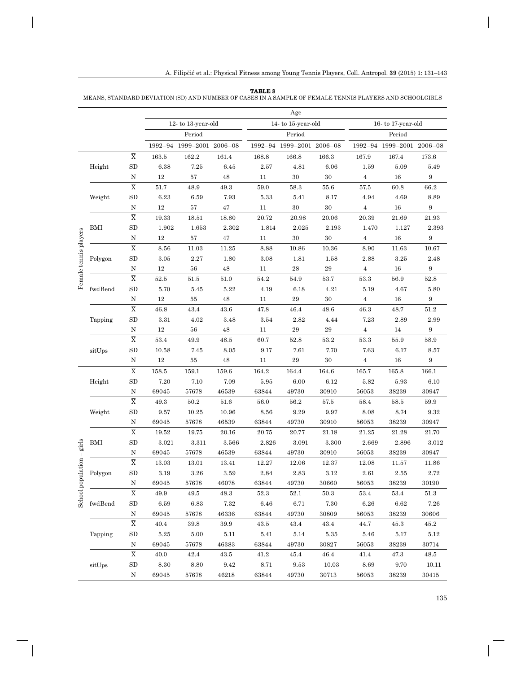#### **TABLE 3**

MEANS, STANDARD DEVIATION (SD) AND NUMBER OF CASES IN A SAMPLE OF FEMALE TENNIS PLAYERS AND SCHOOLGIRLS

|                                                                                                                                                                                                                                                                                                                                                                                                                                                                                                                                                                |            |                                    |          |                           |          |                   | Age                       |          |                   |                           |                  |
|----------------------------------------------------------------------------------------------------------------------------------------------------------------------------------------------------------------------------------------------------------------------------------------------------------------------------------------------------------------------------------------------------------------------------------------------------------------------------------------------------------------------------------------------------------------|------------|------------------------------------|----------|---------------------------|----------|-------------------|---------------------------|----------|-------------------|---------------------------|------------------|
|                                                                                                                                                                                                                                                                                                                                                                                                                                                                                                                                                                |            |                                    |          | 12-to 13-year-old         |          | 14-to 15-year-old |                           |          | 16-to 17-year-old |                           |                  |
|                                                                                                                                                                                                                                                                                                                                                                                                                                                                                                                                                                |            |                                    | Period   |                           |          |                   | Period                    |          |                   | Period                    |                  |
|                                                                                                                                                                                                                                                                                                                                                                                                                                                                                                                                                                |            |                                    |          | 1992-94 1999-2001 2006-08 |          |                   | 1992-94 1999-2001 2006-08 |          |                   | 1992-94 1999-2001 2006-08 |                  |
|                                                                                                                                                                                                                                                                                                                                                                                                                                                                                                                                                                |            | $\overline{\textbf{X}}$            | 163.5    | 162.2                     | 161.4    | 168.8             | 166.8                     | 166.3    | 167.9             | 167.4                     | 173.6            |
|                                                                                                                                                                                                                                                                                                                                                                                                                                                                                                                                                                | Height     | ${\rm SD}$                         | 6.38     | $7.25\,$                  | 6.45     | $2.57\,$          | 4.81                      | 6.06     | 1.59              | 5.09                      | 5.49             |
|                                                                                                                                                                                                                                                                                                                                                                                                                                                                                                                                                                |            | N                                  | 12       | $57\,$                    | 48       | 11                | 30                        | 30       | $\overline{4}$    | 16                        | 9                |
|                                                                                                                                                                                                                                                                                                                                                                                                                                                                                                                                                                |            | $\overline{\textbf{X}}$            | $51.7\,$ | 48.9                      | 49.3     | $59.0\,$          | 58.3                      | 55.6     | $57.5\,$          | 60.8                      | 66.2             |
|                                                                                                                                                                                                                                                                                                                                                                                                                                                                                                                                                                | Weight     | ${\rm SD}$                         | 6.23     | 6.59                      | 7.93     | 5.33              | 5.41                      | 8.17     | 4.94              | 4.69                      | 8.89             |
|                                                                                                                                                                                                                                                                                                                                                                                                                                                                                                                                                                |            | $\mathbf N$                        | $12\,$   | $57\,$                    | 47       | 11                | $30\,$                    | $30\,$   | 4                 | 16                        | 9                |
|                                                                                                                                                                                                                                                                                                                                                                                                                                                                                                                                                                |            | $\overline{\textbf{X}}$            | 19.33    | 18.51                     | 18.80    | $20.72\,$         | 20.98                     | 20.06    | 20.39             | 21.69                     | 21.93            |
|                                                                                                                                                                                                                                                                                                                                                                                                                                                                                                                                                                | BMI        | SD                                 | 1.902    | 1.653                     | 2.302    | 1.814             | 2.025                     | 2.193    | 1.470             | 1.127                     | 2.393            |
| Female tennis players                                                                                                                                                                                                                                                                                                                                                                                                                                                                                                                                          |            | $\rm N$                            | $12\,$   | 57                        | 47       | 11                | $30\,$                    | 30       | $\overline{4}$    | 16                        | $\boldsymbol{9}$ |
|                                                                                                                                                                                                                                                                                                                                                                                                                                                                                                                                                                |            | $\overline{\overline{\mathbf{X}}}$ | 8.56     | 11.03                     | 11.25    | 8.88              | 10.86                     | 10.36    | 8.90              | 11.63                     | 10.67            |
|                                                                                                                                                                                                                                                                                                                                                                                                                                                                                                                                                                | Polygon    | SD                                 | $3.05\,$ | $2.27\,$                  | 1.80     | $3.08\,$          | 1.81                      | 1.58     | 2.88              | $3.25\,$                  | 2.48             |
|                                                                                                                                                                                                                                                                                                                                                                                                                                                                                                                                                                |            | N                                  | 12       | 56                        | 48       | 11                | 28                        | 29       | $\overline{4}$    | 16                        | 9                |
|                                                                                                                                                                                                                                                                                                                                                                                                                                                                                                                                                                |            | $\overline{\textbf{X}}$            | $52.5\,$ | $51.5\,$                  | 51.0     | $54.2\,$          | 54.9                      | 53.7     | $53.3\,$          | 56.9                      | 52.8             |
|                                                                                                                                                                                                                                                                                                                                                                                                                                                                                                                                                                | fwdBend    | SD                                 | 5.70     | 5.45                      | 5.22     | 4.19              | 6.18                      | 4.21     | 5.19              | 4.67                      | 5.80             |
| $\operatorname*{grils}% \nolimits_{\mathbb{Z}}\left( \mathbb{Z}\right) ^{2}=\operatorname*{grits}% \nolimits_{\mathbb{Z}}\left( \mathbb{Z}\right) ^{2}=\operatorname*{grits}% \nolimits_{\mathbb{Z}}\left( \mathbb{Z}\right) ^{2}=\operatorname*{grits}% \nolimits_{\mathbb{Z}}\left( \mathbb{Z}\right) ^{2}=\operatorname*{grits}% \nolimits_{\mathbb{Z}}\left( \mathbb{Z}\right) ^{2}=\operatorname*{grits}% \nolimits_{\mathbb{Z}}\left( \mathbb{Z}\right) ^{2}=\operatorname*{grits}% \nolimits_{\mathbb$<br>$\overline{\phantom{a}}$<br>School population |            | N                                  | $12\,$   | $55\,$                    | 48       | 11                | $\bf 29$                  | $30\,$   | $\overline{4}$    | 16                        | 9                |
|                                                                                                                                                                                                                                                                                                                                                                                                                                                                                                                                                                |            | $\overline{\textbf{X}}$            | 46.8     | 43.4                      | 43.6     | 47.8              | 46.4                      | 48.6     | 46.3              | 48.7                      | $51.2\,$         |
|                                                                                                                                                                                                                                                                                                                                                                                                                                                                                                                                                                | Tapping    | SD                                 | $3.31\,$ | 4.02                      | 3.48     | 3.54              | 2.82                      | 4.44     | 7.23              | 2.89                      | 2.99             |
|                                                                                                                                                                                                                                                                                                                                                                                                                                                                                                                                                                |            | $\rm N$                            | 12       | 56                        | 48       | 11                | $\bf 29$                  | $\bf 29$ | 4                 | 14                        | 9                |
|                                                                                                                                                                                                                                                                                                                                                                                                                                                                                                                                                                |            | $\overline{\textbf{X}}$            | $53.4\,$ | 49.9                      | 48.5     | 60.7              | 52.8                      | 53.2     | 53.3              | 55.9                      | 58.9             |
|                                                                                                                                                                                                                                                                                                                                                                                                                                                                                                                                                                | sitUps     | SD                                 | 10.58    | 7.45                      | 8.05     | 9.17              | 7.61                      | 7.70     | 7.63              | 6.17                      | 8.57             |
|                                                                                                                                                                                                                                                                                                                                                                                                                                                                                                                                                                |            | N                                  | 12       | 55                        | 48       | 11                | $\bf 29$                  | $30\,$   | $\overline{4}$    | 16                        | 9                |
|                                                                                                                                                                                                                                                                                                                                                                                                                                                                                                                                                                |            | $\overline{\textbf{X}}$            | 158.5    | 159.1                     | 159.6    | 164.2             | 164.4                     | 164.6    | 165.7             | 165.8                     | 166.1            |
|                                                                                                                                                                                                                                                                                                                                                                                                                                                                                                                                                                | Height     | ${\rm SD}$                         | 7.20     | 7.10                      | 7.09     | 5.95              | 6.00                      | 6.12     | 5.82              | 5.93                      | 6.10             |
|                                                                                                                                                                                                                                                                                                                                                                                                                                                                                                                                                                |            | N                                  | 69045    | 57678                     | 46539    | 63844             | 49730                     | 30910    | 56053             | 38239                     | 30947            |
|                                                                                                                                                                                                                                                                                                                                                                                                                                                                                                                                                                |            | $\overline{\textbf{X}}$            | 49.3     | $50.2\,$                  | $51.6\,$ | $56.0\,$          | 56.2                      | $57.5\,$ | 58.4              | 58.5                      | 59.9             |
|                                                                                                                                                                                                                                                                                                                                                                                                                                                                                                                                                                | Weight     | SD                                 | 9.57     | 10.25                     | 10.96    | 8.56              | 9.29                      | 9.97     | 8.08              | 8.74                      | 9.32             |
|                                                                                                                                                                                                                                                                                                                                                                                                                                                                                                                                                                |            | $\mathbf N$                        | 69045    | 57678                     | 46539    | 63844             | 49730                     | 30910    | 56053             | 38239                     | 30947            |
|                                                                                                                                                                                                                                                                                                                                                                                                                                                                                                                                                                |            | $\overline{\textbf{X}}$            | 19.52    | 19.75                     | 20.16    | 20.75             | 20.77                     | 21.18    | 21.25             | 21.28                     | 21.70            |
|                                                                                                                                                                                                                                                                                                                                                                                                                                                                                                                                                                | <b>BMI</b> | ${\rm SD}$                         | 3.021    | 3.311                     | 3.566    | 2.826             | 3.091                     | 3.300    | 2.669             | 2.896                     | 3.012            |
|                                                                                                                                                                                                                                                                                                                                                                                                                                                                                                                                                                |            | N                                  | 69045    | 57678                     | 46539    | 63844             | 49730                     | 30910    | 56053             | 38239                     | 30947            |
|                                                                                                                                                                                                                                                                                                                                                                                                                                                                                                                                                                |            | $\overline{\textbf{X}}$            | 13.03    | 13.01                     | 13.41    | 12.27             | 12.06                     | 12.37    | 12.08             | 11.57                     | 11.86            |
|                                                                                                                                                                                                                                                                                                                                                                                                                                                                                                                                                                | Polygon    | ${\rm SD}$                         | 3.19     | 3.26                      | 3.59     | 2.84              | 2.83                      | $3.12\,$ | 2.61              | 2.55                      | 2.72             |
|                                                                                                                                                                                                                                                                                                                                                                                                                                                                                                                                                                |            | N                                  | 69045    | 57678                     | 46078    | 63844             | 49730                     | 30660    | 56053             | 38239                     | 30190            |
|                                                                                                                                                                                                                                                                                                                                                                                                                                                                                                                                                                |            | $\overline{\textbf{X}}$            | 49.9     | 49.5                      | 48.3     | 52.3              | 52.1                      | 50.3     | 53.4              | $53.4\,$                  | 51.3             |
|                                                                                                                                                                                                                                                                                                                                                                                                                                                                                                                                                                | fwdBend    | ${\rm SD}$                         | 6.59     | 6.83                      | 7.32     | 6.46              | 6.71                      | 7.30     | 6.26              | 6.62                      | 7.26             |
|                                                                                                                                                                                                                                                                                                                                                                                                                                                                                                                                                                |            | N                                  | 69045    | 57678                     | 46336    | 63844             | 49730                     | 30809    | 56053             | 38239                     | 30606            |
|                                                                                                                                                                                                                                                                                                                                                                                                                                                                                                                                                                |            | $\overline{\textbf{X}}$            | 40.4     | $39.8\,$                  | 39.9     | $\bf 43.5$        | 43.4                      | 43.4     | 44.7              | 45.3                      | 45.2             |
|                                                                                                                                                                                                                                                                                                                                                                                                                                                                                                                                                                | Tapping    | SD                                 | 5.25     | 5.00                      | 5.11     | 5.41              | 5.14                      | 5.35     | 5.46              | 5.17                      | 5.12             |
|                                                                                                                                                                                                                                                                                                                                                                                                                                                                                                                                                                |            | Ν                                  | 69045    | 57678                     | 46383    | 63844             | 49730                     | 30827    | 56053             | 38239                     | 30714            |
|                                                                                                                                                                                                                                                                                                                                                                                                                                                                                                                                                                |            | $\overline{\textbf{X}}$            | 40.0     | 42.4                      | 43.5     | 41.2              | 45.4                      | 46.4     | 41.4              | 47.3                      | 48.5             |
|                                                                                                                                                                                                                                                                                                                                                                                                                                                                                                                                                                | sitUps     | ${\rm SD}$                         | 8.30     | 8.80                      | 9.42     | 8.71              | 9.53                      | 10.03    | 8.69              | 9.70                      | 10.11            |
|                                                                                                                                                                                                                                                                                                                                                                                                                                                                                                                                                                |            | N                                  | 69045    | 57678                     | 46218    | 63844             | 49730                     | 30713    | 56053             | 38239                     | 30415            |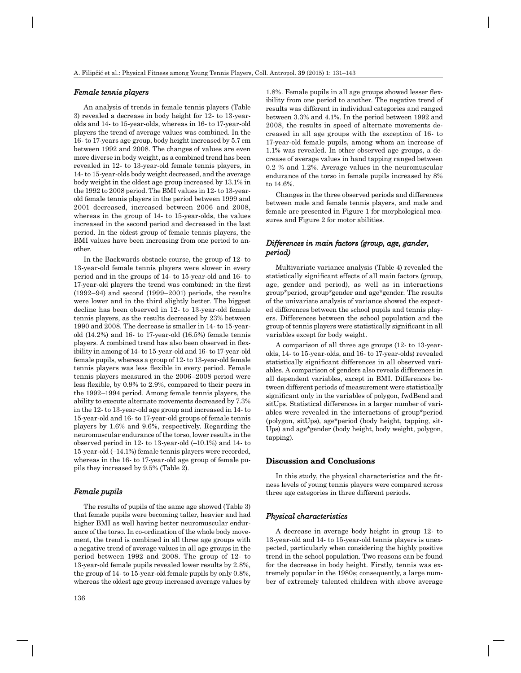#### *Female tennis players emale*

An analysis of trends in female tennis players (Table 3) revealed a decrease in body height for 12- to 13-yearolds and 14- to 15-year-olds, whereas in 16- to 17-year-old players the trend of average values was combined. In the 16- to 17-years age group, body height increased by 5.7 cm between 1992 and 2008. The changes of values are even more diverse in body weight, as a combined trend has been revealed in 12- to 13-year-old female tennis players, in 14- to 15-year-olds body weight decreased, and the average body weight in the oldest age group increased by 13.1% in the 1992 to 2008 period. The BMI values in 12- to 13-yearold female tennis players in the period between 1999 and 2001 decreased, increased between 2006 and 2008, whereas in the group of 14- to 15-year-olds, the values increased in the second period and decreased in the last period. In the oldest group of female tennis players, the BMI values have been increasing from one period to another.

In the Backwards obstacle course, the group of 12- to 13-year-old female tennis players were slower in every period and in the groups of 14- to 15-year-old and 16- to 17-year-old players the trend was combined: in the first (1992–94) and second (1999–2001) periods, the results were lower and in the third slightly better. The biggest decline has been observed in 12- to 13-year-old female tennis players, as the results decreased by 23% between 1990 and 2008. The decrease is smaller in 14- to 15-yearold (14.2%) and 16- to 17-year-old (16.5%) female tennis players. A combined trend has also been observed in flexibility in among of 14- to 15-year-old and 16- to 17-year-old female pupils, whereas a group of 12- to 13-year-old female tennis players was less flexible in every period. Female tennis players measured in the 2006–2008 period were less flexible, by  $0.9\%$  to  $2.9\%$ , compared to their peers in the 1992–1994 period. Among female tennis players, the ability to execute alternate movements decreased by 7.3% in the 12- to 13-year-old age group and increased in 14- to 15-year-old and 16- to 17-year-old groups of female tennis players by 1.6% and 9.6%, respectively. Regarding the neuromuscular endurance of the torso, lower results in the observed period in 12- to 13-year-old (–10.1%) and 14- to 15-year-old (–14.1%) female tennis players were recorded, whereas in the 16- to 17-year-old age group of female pupils they increased by 9.5% (Table 2).

#### *Female pupils emale*

The results of pupils of the same age showed (Table 3) that female pupils were becoming taller, heavier and had higher BMI as well having better neuromuscular endurance of the torso. In co-ordination of the whole body movement, the trend is combined in all three age groups with a negative trend of average values in all age groups in the period between 1992 and 2008. The group of 12- to 13-year-old female pupils revealed lower results by 2.8%, the group of 14- to 15-year-old female pupils by only 0.8%, whereas the oldest age group increased average values by

 $1.8\%$ . Female pupils in all age groups showed lesser flexibility from one period to another. The negative trend of results was different in individual categories and ranged between 3.3% and 4.1%. In the period between 1992 and 2008, the results in speed of alternate movements decreased in all age groups with the exception of 16- to 17-year-old female pupils, among whom an increase of 1.1% was revealed. In other observed age groups, a decrease of average values in hand tapping ranged between 0.2 % and 1.2%. Average values in the neuromuscular endurance of the torso in female pupils increased by 8% to 14.6%.

Changes in the three observed periods and differences between male and female tennis players, and male and female are presented in Figure 1 for morphological measures and Figure 2 for motor abilities.

## *Differences in main factors (group, age, gander, period)*

Multivariate variance analysis (Table 4) revealed the statistically significant effects of all main factors (group, age, gender and period), as well as in interactions group\*period, group\*gender and age\*gender. The results of the univariate analysis of variance showed the expected differences between the school pupils and tennis players. Differences between the school population and the group of tennis players were statistically significant in all variables except for body weight.

A comparison of all three age groups (12- to 13-yearolds, 14- to 15-year-olds, and 16- to 17-year-olds) revealed statistically significant differences in all observed variables. A comparison of genders also reveals differences in all dependent variables, except in BMI. Differences between different periods of measurement were statistically significant only in the variables of polygon, fwdBend and sitUps. Statistical differences in a larger number of variables were revealed in the interactions of group\*period (polygon, sitUps), age\*period (body height, tapping, sit-Ups) and age\*gender (body height, body weight, polygon, tapping).

## **Discussion and Conclusions**

In this study, the physical characteristics and the fitness levels of young tennis players were compared across three age categories in three different periods.

#### *Physical characteristics hysical*

A decrease in average body height in group 12- to 13-year-old and 14- to 15-year-old tennis players is unexpected, particularly when considering the highly positive trend in the school population. Two reasons can be found for the decrease in body height. Firstly, tennis was extremely popular in the 1980s; consequently, a large number of extremely talented children with above average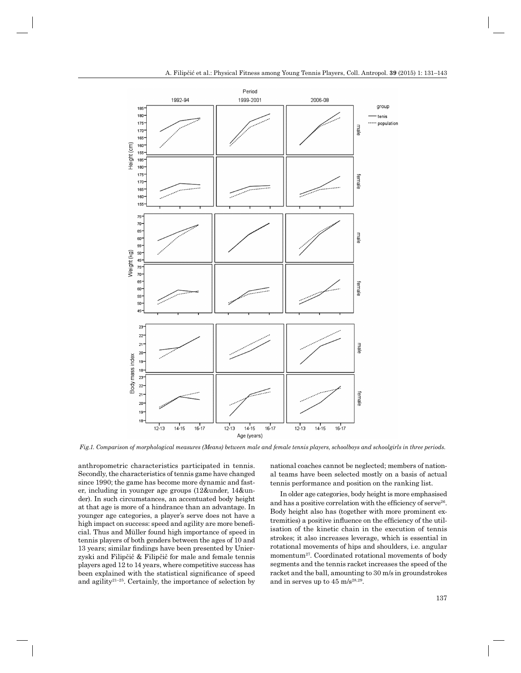

*Fig.1. Comparison of morphological measures (Means) between male and female tennis players, schoolboys and schoolgirls in three periods.*

anthropometric characteristics participated in tennis. Secondly, the characteristics of tennis game have changed since 1990; the game has become more dynamic and faster, including in younger age groups (12&under, 14&under). In such circumstances, an accentuated body height at that age is more of a hindrance than an advantage. In younger age categories, a player's serve does not have a high impact on success: speed and agility are more beneficial. Thus and Müller found high importance of speed in tennis players of both genders between the ages of 10 and 13 years; similar findings have been presented by Unierzyski and Filipčič & Filipčič for male and female tennis players aged 12 to 14 years, where competitive success has been explained with the statistical significance of speed and agility<sup>21–25</sup>. Certainly, the importance of selection by national coaches cannot be neglected; members of national teams have been selected mostly on a basis of actual tennis performance and position on the ranking list.

In older age categories, body height is more emphasised and has a positive correlation with the efficiency of serve<sup>26</sup>. Body height also has (together with more prominent extremities) a positive influence on the efficiency of the utilisation of the kinetic chain in the execution of tennis strokes; it also increases leverage, which is essential in rotational movements of hips and shoulders, i.e. angular momentum<sup>27</sup>. Coordinated rotational movements of body segments and the tennis racket increases the speed of the racket and the ball, amounting to 30 m/s in groundstrokes and in serves up to  $45 \text{ m/s}^{28,29}$ .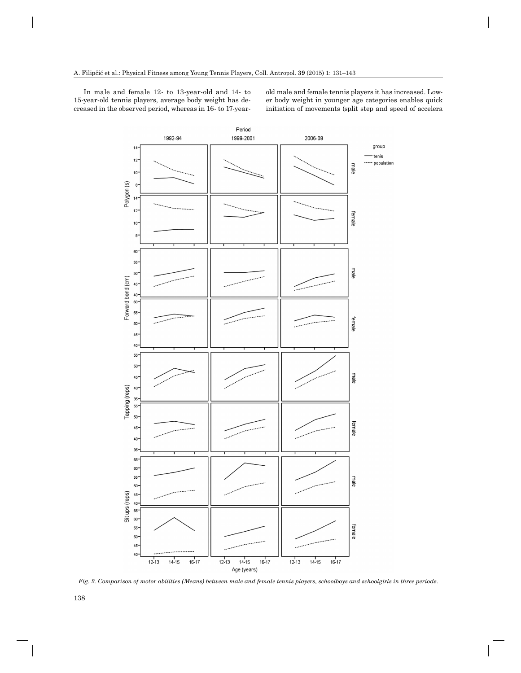In male and female 12- to 13-year-old and 14- to 15-year-old tennis players, average body weight has decreased in the observed period, whereas in 16- to 17-yearold male and female tennis players it has increased. Lower body weight in younger age categories enables quick initiation of movements (split step and speed of accelera



*Fig. 2. Comparison of motor abilities (Means) between male and female tennis players, schoolboys and schoolgirls in three periods.*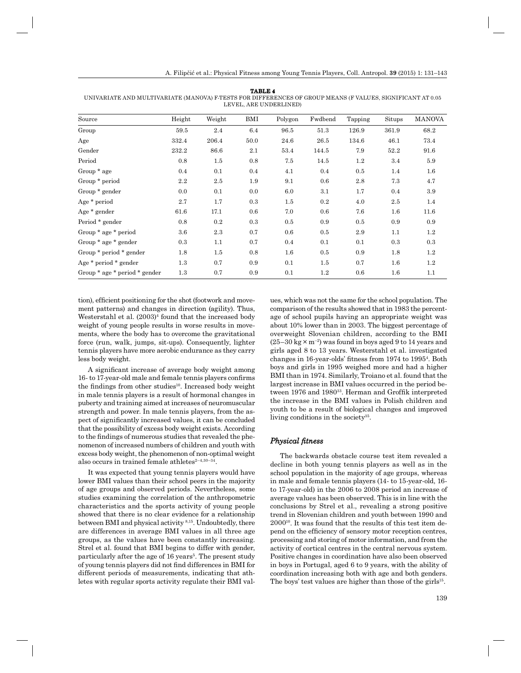|--|

UNIVARIATE AND MULTIVARIATE (MANOVA) F-TESTS FOR DIFFERENCES OF GROUP MEANS (F VALUES, SIGNIFICANT AT 0.05 LEVEL, ARE UNDERLINED)

| Source                        | Height  | Weight  | BMI  | Polygon | Fwdbend | Tapping | Situps | <b>MANOVA</b> |
|-------------------------------|---------|---------|------|---------|---------|---------|--------|---------------|
| Group                         | 59.5    | 2.4     | 6.4  | 96.5    | 51.3    | 126.9   | 361.9  | 68.2          |
| Age                           | 332.4   | 206.4   | 50.0 | 24.6    | 26.5    | 134.6   | 46.1   | 73.4          |
| Gender                        | 232.2   | 86.6    | 2.1  | 53.4    | 144.5   | 7.9     | 52.2   | 91.6          |
| Period                        | 0.8     | 1.5     | 0.8  | 7.5     | 14.5    | $1.2\,$ | 3.4    | 5.9           |
| Group * age                   | $0.4\,$ | 0.1     | 0.4  | 4.1     | 0.4     | 0.5     | 1.4    | 1.6           |
| Group * period                | 2.2     | 2.5     | 1.9  | 9.1     | 0.6     | 2.8     | 7.3    | 4.7           |
| Group * gender                | 0.0     | 0.1     | 0.0  | 6.0     | 3.1     | 1.7     | 0.4    | 3.9           |
| Age * period                  | 2.7     | 1.7     | 0.3  | $1.5\,$ | 0.2     | 4.0     | 2.5    | 1.4           |
| Age * gender                  | 61.6    | 17.1    | 0.6  | 7.0     | 0.6     | 7.6     | 1.6    | 11.6          |
| Period * gender               | 0.8     | $0.2\,$ | 0.3  | 0.5     | 0.9     | $0.5\,$ | 0.9    | 0.9           |
| Group * age * period          | 3.6     | 2.3     | 0.7  | 0.6     | 0.5     | 2.9     | 1.1    | $1.2\,$       |
| Group $*$ age $*$ gender      | 0.3     | 1.1     | 0.7  | 0.4     | 0.1     | 0.1     | 0.3    | 0.3           |
| Group * period * gender       | 1.8     | 1.5     | 0.8  | 1.6     | 0.5     | 0.9     | 1.8    | $1.2\,$       |
| Age $*$ period $*$ gender     | 1.3     | 0.7     | 0.9  | 0.1     | 1.5     | 0.7     | 1.6    | $1.2\,$       |
| Group * age * period * gender | 1.3     | 0.7     | 0.9  | 0.1     | 1.2     | $0.6\,$ | 1.6    | 1.1           |

tion), efficient positioning for the shot (footwork and movement patterns) and changes in direction (agility). Thus, Westerstahl et al.  $(2003)^4$  found that the increased body weight of young people results in worse results in movements, where the body has to overcome the gravitational force (run, walk, jumps, sit-ups). Consequently, lighter tennis players have more aerobic endurance as they carry less body weight.

A significant increase of average body weight among 16- to 17-year-old male and female tennis players confirms the findings from other studies<sup>10</sup>. Increased body weight in male tennis players is a result of hormonal changes in puberty and training aimed at increases of neuromuscular strength and power. In male tennis players, from the aspect of significantly increased values, it can be concluded that the possibility of excess body weight exists. According to the findings of numerous studies that revealed the phenomenon of increased numbers of children and youth with excess body weight, the phenomenon of non-optimal weight also occurs in trained female athletes $2-4,30-34$ .

It was expected that young tennis players would have lower BMI values than their school peers in the majority of age groups and observed periods. Nevertheless, some studies examining the correlation of the anthropometric characteristics and the sports activity of young people showed that there is no clear evidence for a relationship between BMI and physical activity 8,15. Undoubtedly, there are differences in average BMI values in all three age groups, as the values have been constantly increasing. Strel et al. found that BMI begins to differ with gender, particularly after the age of 16 years<sup>5</sup>. The present study of young tennis players did not find differences in BMI for different periods of measurements, indicating that athletes with regular sports activity regulate their BMI val-

ues, which was not the same for the school population. The comparison of the results showed that in 1983 the percentage of school pupils having an appropriate weight was about 10% lower than in 2003. The biggest percentage of overweight Slovenian children, according to the BMI  $(25-30 \text{ kg} \times \text{m}^{-2})$  was found in boys aged 9 to 14 years and girls aged 8 to 13 years. Westerstahl et al. investigated changes in 16-year-olds' fitness from 1974 to 1995<sup>4</sup>. Both boys and girls in 1995 weighed more and had a higher BMI than in 1974. Similarly, Troiano et al. found that the largest increase in BMI values occurred in the period between 1976 and 1980<sup>33</sup>. Herman and Groffik interpreted the increase in the BMI values in Polish children and youth to be a result of biological changes and improved living conditions in the society<sup>35</sup>.

## *Physical fi hysical fitness*

The backwards obstacle course test item revealed a decline in both young tennis players as well as in the school population in the majority of age groups, whereas in male and female tennis players (14- to 15-year-old, 16 to 17-year-old) in the 2006 to 2008 period an increase of average values has been observed. This is in line with the conclusions by Strel et al., revealing a strong positive trend in Slovenian children and youth between 1990 and 200010. It was found that the results of this test item depend on the efficiency of sensory motor reception centres, processing and storing of motor information, and from the activity of cortical centres in the central nervous system. Positive changes in coordination have also been observed in boys in Portugal, aged 6 to 9 years, with the ability of coordination increasing both with age and both genders. The boys' test values are higher than those of the girls<sup>15</sup>.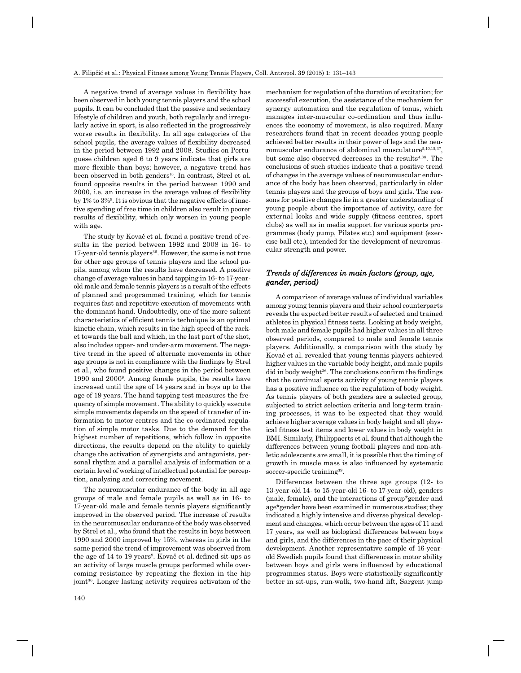A negative trend of average values in flexibility has been observed in both young tennis players and the school pupils. It can be concluded that the passive and sedentary lifestyle of children and youth, both regularly and irregularly active in sport, is also reflected in the progressively worse results in flexibility. In all age categories of the school pupils, the average values of flexibility decreased in the period between 1992 and 2008. Studies on Portuguese children aged 6 to 9 years indicate that girls are more flexible than boys; however, a negative trend has been observed in both genders<sup>15</sup>. In contrast, Strel et al. found opposite results in the period between 1990 and  $2000$ , i.e. an increase in the average values of flexibility by 1% to 3%9 . It is obvious that the negative effects of inactive spending of free time in children also result in poorer results of flexibility, which only worsen in young people with age.

The study by Kovač et al. found a positive trend of results in the period between 1992 and 2008 in 16- to 17-year-old tennis players<sup>36</sup>. However, the same is not true for other age groups of tennis players and the school pupils, among whom the results have decreased. A positive change of average values in hand tapping in 16- to 17-yearold male and female tennis players is a result of the effects of planned and programmed training, which for tennis requires fast and repetitive execution of movements with the dominant hand. Undoubtedly, one of the more salient characteristics of efficient tennis technique is an optimal kinetic chain, which results in the high speed of the racket towards the ball and which, in the last part of the shot, also includes upper- and under-arm movement. The negative trend in the speed of alternate movements in other age groups is not in compliance with the findings by Strel et al., who found positive changes in the period between 1990 and 20009 . Among female pupils, the results have increased until the age of 14 years and in boys up to the age of 19 years. The hand tapping test measures the frequency of simple movement. The ability to quickly execute simple movements depends on the speed of transfer of information to motor centres and the co-ordinated regulation of simple motor tasks. Due to the demand for the highest number of repetitions, which follow in opposite directions, the results depend on the ability to quickly change the activation of synergists and antagonists, personal rhythm and a parallel analysis of information or a certain level of working of intellectual potential for perception, analysing and correcting movement.

The neuromuscular endurance of the body in all age groups of male and female pupils as well as in 16- to 17-year-old male and female tennis players significantly improved in the observed period. The increase of results in the neuromuscular endurance of the body was observed by Strel et al., who found that the results in boys between 1990 and 2000 improved by 15%, whereas in girls in the same period the trend of improvement was observed from the age of 14 to 19 years<sup>9</sup>. Kovač et al. defined sit-ups as an activity of large muscle groups performed while overcoming resistance by repeating the flexion in the hip joint36. Longer lasting activity requires activation of the

mechanism for regulation of the duration of excitation; for successful execution, the assistance of the mechanism for synergy automation and the regulation of tonus, which manages inter-muscular co-ordination and thus influences the economy of movement, is also required. Many researchers found that in recent decades young people achieved better results in their power of legs and the neuromuscular endurance of abdominal musculature<sup>5,10,15,37</sup>, but some also observed decreases in the results<sup>4,38</sup>. The conclusions of such studies indicate that a positive trend of changes in the average values of neuromuscular endurance of the body has been observed, particularly in older tennis players and the groups of boys and girls. The reasons for positive changes lie in a greater understanding of young people about the importance of activity, care for external looks and wide supply (fitness centres, sport clubs) as well as in media support for various sports programmes (body pump, Pilates etc.) and equipment (exercise ball etc.), intended for the development of neuromuscular strength and power.

## *Trends of differences in main factors (group, age, gander, period) ander,*

A comparison of average values of individual variables among young tennis players and their school counterparts reveals the expected better results of selected and trained athletes in physical fitness tests. Looking at body weight, both male and female pupils had higher values in all three observed periods, compared to male and female tennis players. Additionally, a comparison with the study by Kovač et al. revealed that young tennis players achieved higher values in the variable body height, and male pupils did in body weight<sup>36</sup>. The conclusions confirm the findings that the continual sports activity of young tennis players has a positive influence on the regulation of body weight. As tennis players of both genders are a selected group, subjected to strict selection criteria and long-term training processes, it was to be expected that they would achieve higher average values in body height and all physical fitness test items and lower values in body weight in BMI. Similarly, Philippaerts et al. found that although the differences between young football players and non-athletic adolescents are small, it is possible that the timing of growth in muscle mass is also influenced by systematic soccer-specific training<sup>39</sup>.

Differences between the three age groups (12- to 13-year-old 14- to 15-year-old 16- to 17-year-old), genders (male, female), and the interactions of group\*gender and age\*gender have been examined in numerous studies; they indicated a highly intensive and diverse physical development and changes, which occur between the ages of 11 and 17 years, as well as biological differences between boys and girls, and the differences in the pace of their physical development. Another representative sample of 16-yearold Swedish pupils found that differences in motor ability between boys and girls were influenced by educational programmes status. Boys were statistically significantly better in sit-ups, run-walk, two-hand lift, Sargent jump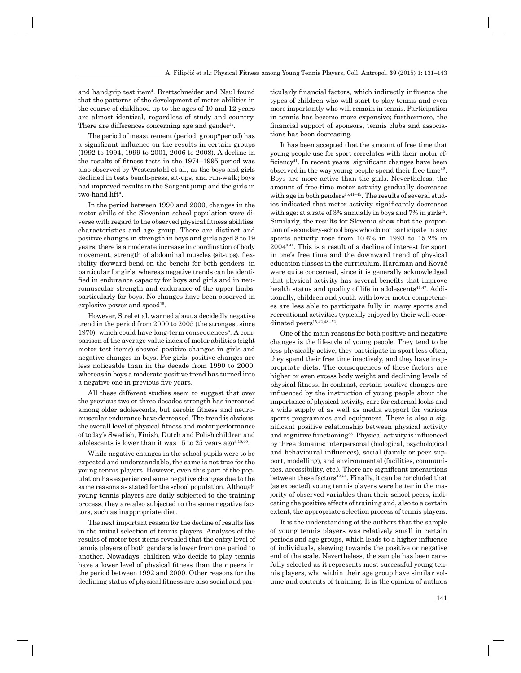and handgrip test item<sup>4</sup>. Brettschneider and Naul found that the patterns of the development of motor abilities in the course of childhood up to the ages of 10 and 12 years are almost identical, regardless of study and country. There are differences concerning age and gender<sup>15</sup>.

The period of measurement (period, group\*period) has a significant influence on the results in certain groups (1992 to 1994, 1999 to 2001, 2006 to 2008). A decline in the results of fitness tests in the 1974–1995 period was also observed by Westerstahl et al., as the boys and girls declined in tests bench-press, sit-ups, and run-walk; boys had improved results in the Sargent jump and the girls in two-hand lift<sup>4</sup>.

In the period between 1990 and 2000, changes in the motor skills of the Slovenian school population were diverse with regard to the observed physical fitness abilities, characteristics and age group. There are distinct and positive changes in strength in boys and girls aged 8 to 19 years; there is a moderate increase in coordination of body movement, strength of abdominal muscles (sit-ups), flexibility (forward bend on the bench) for both genders, in particular for girls, whereas negative trends can be identified in endurance capacity for boys and girls and in neuromuscular strength and endurance of the upper limbs, particularly for boys. No changes have been observed in explosive power and speed<sup>15</sup>.

However, Strel et al. warned about a decidedly negative trend in the period from 2000 to 2005 (the strongest since 1970), which could have long-term consequences<sup>6</sup>. A comparison of the average value index of motor abilities (eight motor test items) showed positive changes in girls and negative changes in boys. For girls, positive changes are less noticeable than in the decade from 1990 to 2000, whereas in boys a moderate positive trend has turned into a negative one in previous five years.

All these different studies seem to suggest that over the previous two or three decades strength has increased among older adolescents, but aerobic fitness and neuromuscular endurance have decreased. The trend is obvious: the overall level of physical fitness and motor performance of today's Swedish, Finish, Dutch and Polish children and adolescents is lower than it was 15 to 25 years ago<sup>8,15,40</sup>.

While negative changes in the school pupils were to be expected and understandable, the same is not true for the young tennis players. However, even this part of the population has experienced some negative changes due to the same reasons as stated for the school population. Although young tennis players are daily subjected to the training process, they are also subjected to the same negative factors, such as inappropriate diet.

The next important reason for the decline of results lies in the initial selection of tennis players. Analyses of the results of motor test items revealed that the entry level of tennis players of both genders is lower from one period to another. Nowadays, children who decide to play tennis have a lower level of physical fitness than their peers in the period between 1992 and 2000. Other reasons for the declining status of physical fitness are also social and par-

ticularly financial factors, which indirectly influence the types of children who will start to play tennis and even more importantly who will remain in tennis. Participation in tennis has become more expensive; furthermore, the financial support of sponsors, tennis clubs and associations has been decreasing.

It has been accepted that the amount of free time that young people use for sport correlates with their motor efficiency<sup>41</sup>. In recent years, significant changes have been observed in the way young people spend their free time<sup>42</sup>. Boys are more active than the girls. Nevertheless, the amount of free-time motor activity gradually decreases with age in both genders<sup>15,41–45</sup>. The results of several studies indicated that motor activity significantly decreases with age: at a rate of  $3\%$  annually in boys and  $7\%$  in girls<sup>15</sup>. Similarly, the results for Slovenia show that the proportion of secondary-school boys who do not participate in any sports activity rose from 10.6% in 1993 to 15.2% in 20049,41. This is a result of a decline of interest for sport in one's free time and the downward trend of physical education classes in the curriculum. Hardman and Kovač were quite concerned, since it is generally acknowledged that physical activity has several benefits that improve health status and quality of life in adolescents<sup>46,47</sup>. Additionally, children and youth with lower motor competences are less able to participate fully in many sports and recreational activities typically enjoyed by their well-coordinated peers $^{15,42,48-52}$ .

One of the main reasons for both positive and negative changes is the lifestyle of young people. They tend to be less physically active, they participate in sport less often, they spend their free time inactively, and they have inappropriate diets. The consequences of these factors are higher or even excess body weight and declining levels of physical fitness. In contrast, certain positive changes are influenced by the instruction of young people about the importance of physical activity, care for external looks and a wide supply of as well as media support for various sports programmes and equipment. There is also a significant positive relationship between physical activity and cognitive functioning<sup>53</sup>. Physical activity is influenced by three domains: interpersonal (biological, psychological and behavioural influences), social (family or peer support, modelling), and environmental (facilities, communities, accessibility, etc.). There are significant interactions between these factors $42,54$ . Finally, it can be concluded that (as expected) young tennis players were better in the majority of observed variables than their school peers, indicating the positive effects of training and, also to a certain extent, the appropriate selection process of tennis players.

It is the understanding of the authors that the sample of young tennis players was relatively small in certain periods and age groups, which leads to a higher influence of individuals, skewing towards the positive or negative end of the scale. Nevertheless, the sample has been carefully selected as it represents most successful young tennis players, who within their age group have similar volume and contents of training. It is the opinion of authors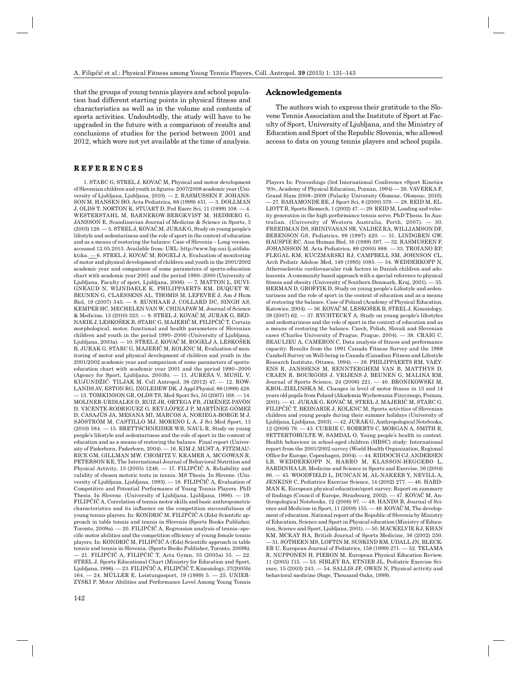that the groups of young tennis players and school population had different starting points in physical fitness and characteristics as well as in the volume and contents of sports activities. Undoubtedly, the study will have to be upgraded in the future with a comparison of results and conclusions of studies for the period between 2001 and 2012, which were not yet available at the time of analysis.

#### **REFERENCES E F E R E N C E S**

1. STARC G, STREL J, KOVAČ M, Physical and motor development of Slovenian children and youth in figures: 2007/2008 academic year (University of Ljubljana, Ljubljana, 2010). — 2. RASMUSSEN F, JOHANS-SON M, HANSEN HO, Acta Pediatrica, 88 (1999) 431. — 3. DOLLMAN J, OLDS T, NORTON K, STUART D, Ped Exerc Sci, 11 (1999) 108. — 4. WESTERSTAHL M, BARNEKOW-BERGKVIST M, HEDBERG G, JANSSON E, Scandinavian Journal of Medicine & Science in Sports, 3  $(2003)$  128.  $-5$ . STREL J, KOVAČ M, JURAK G, Study on young people's lifestyle and sedentariness and the role of sport in the context of education and as a means of restoring the balance: Case of Slovenia – Long version, accessed 12.05.2013. Available from: URL: http://www.fsp.uni-lj.si/didaktika. — 6. STREL J, KOVAČ M, ROGELJ A, Evaluation of monitoring of motor and physical development of children and youth in the 2001/2002 academic year and comparison of some parameters of sports-education chart with academic year 2001 and the period 1990–2000 (University of Ljubljana, Faculty of sport, Ljubljana, 2006). — 7. MATTON L, DUVI-GNEAUD N, WIJNDAELE K, PHILIPPAERTS RM, DUQUET W, BEUNEN G, CLAESSENS AL, THOMIS M, LEFEVRE J, Am J Hum Biol, 19 (2007) 345. — 8. RUNHAAR J, COLLARD DC, SINGH AS, KEMPER HC, MECHELEN VAN W, CHINAPAW M, Journal of Science & Medicine, 13 (2010) 323. — 9. STREL J, KOVAČ M, JURAK G, BED-NARIK J, LESKOŠEK B, STARC G, MAJERIČ M, FILIPČIČ T, Certain morphological, motor, functional and health parameters of Slovenian children and youth in the period 1990–2000 (University of Ljubljana, Ljubljana, 2003a). — 10. STREL J, KOVAČ M, ROGELJ A, LESKOŠEK B, JURAK G, STARC G, MAJERIČ M, KOLENC M, Evaluation of monitoring of motor and physical development of children and youth in the 2001/2002 academic year and comparison of some parameters of sportseducation chart with academic year 2001 and the period 1990–2000 (Agency for Sport, Ljubljana, 2003b). — 11. JUREŠA V, MUSIL V, KUJUNDŽIĆ- TILJAK M, Coll Antropol, 36 (2012) 47. — 12. ROW-LANDS AV, ESTON RG, INGLEDEW DK, J Appl Physiol, 86 (1998) 428. — 13. TOMKINSON GR, OLDS TS, Med Sport Sci, 50 (2007) 168. — 14. MOLINER-URDIALES D, RUIZ JR, ORTEGA FB, JIMÉNEZ-PAVÓN D, VICENTE-RODRIGUEZ G, REY-LÓPEZ J P, MARTÍNEZ-GÓMEZ D, CASAJÚS JA, MESANA MI, MARCOS A, NORIEGA-BORGE M J, SJÖSTRÖM M, CASTILLO MJ, MORENO L A, J Sci Med Sport, 13 (2010) 584. — 15. BRETTSCHNEIDER WB, NAUL R, Study on young people's lifestyle and sedentariness and the role of sport in the context of education and as a means of restoring the balance. Final report (University of Paderborn, Paderborn, 2004). — 16. KIM J, MUST A, FITZMAU-RICE GM, GILLMAN MW, CHOMITZ V, KRAMER A, MCGOWAN R, PETERSON KE, The International Journal of Behavioral Nutrition and Physical Activity, 13 (2005) 1246. — 17. FILIPČIČ A, Reliability and validity of chosen motoric tests in tennis. MS Thesis. In Slovene. (University of Ljubljana, Ljubljana, 1993). — 18. FILIPČIČ A, Evaluation of Competitive and Potential Performance of Young Tennis Players. PhD Thesis. In Slovene. (University of Ljubljana, Ljubljana, 1996). — 19. FILIPČIČ A, Correlation of tennis motor skills and basic anthropometric characteristics and its influence on the competition successfulness of young tennis players. In: KONDRIĆ M, FILIPČIČ A (Eds) Scientific approach in table tennis and tennis in Slovenia (Sports Books Publisher, Toronto, 2009a). — 20. FILIPČIČ A, Regression analysis of tennis–specific motor abilities and the competition efficiency of young female tennis players. In: KONDRIĆ M, FILIPČIČ A (Eds) Scientific approach in table tennis and tennis in Slovenia. (Sports Books Publisher, Toronto, 2009b). — 21. FILIPČIČ A, FILIPČIČ T, Acta Gymn, 35 (2005a) 35. — 22. STREL J, Sports Educational Chart (Ministry for Education and Sport, Ljubljana, 1996). — 23. FILIPČIČ A, FILIPČIČ T, Kinesiology, 37(2005b) 164. — 24. MÜLLER E, Leistungssport, 19 (1989) 5. — 25. UNIER-ZYSKI P, Motor Abilities and Performance Level Among Young Tennis

#### **Acknowledgements cknowledgements**

The authors wish to express their gratitude to the Slovene Tennis Association and the Institute of Sport at Faculty of Sport, University of Ljubljana, and the Ministry of Education and Sport of the Republic Slovenia, who allowed access to data on young tennis players and school pupils.

Players In: Proceedings (3rd International Conference »Sport Kinetics '93«, Academy of Physical Education, Poznan, 1994) — 26. VAVERKA F, Grand Slam 2008–2009 (Palacky University Olomouc, Olomouc, 2010). — 27. BAHAMONDE RE, J Sport Sci, 8 (2000) 579. — 28. REID M, EL-LIOTT B, Sports Biomech, 1 (2002) 47. — 29. REID M, Loading and velocity generation in the high performance tennis serve. PhD Thesis. In Australian. (University of Western Australia, Perth, 2007). — 30. FREEDMAN DS, SRINIVASAN SR, VALDEZ RA, WILLIAMSON DF, BERENSON GS, Pediatrics, 99 (1997) 420. — 31. LINDGREN GW, HAUSPIE RC, Ann Human Biol, 16 (1989) 397. — 32. RASMUSEEN F, JOHANSSON M, Acta Pediatrica, 89 (2000) 888. — 33. TROIANO RP, FLEGAL KM, KUCZMARSKI RJ, CAMPBELL SM, JOHNSON CL, Arch Pediatr Adolesc Med, 149 (1995) 1085. — 34. WEDDERKOPP N, Atherosclerotic cardiovascular risk factors in Danish children and adolescents. A community based approach with a special reference to physical fitness and obesity (University of Southern Denmark, Kraj, 2001). — 35. HERMAN D, GROFFIK D, Study on young people's Lifestyle and sedentariness and the role of sport in the context of education and as a means of restoring the balance. Case of Poland (Academy of Physical Education, Katowice, 2004). — 36. KOVAČ M, LESKOŠEK B, STREL J, Kinesiology, 39 (2007) 62. — 37. RYCHTECKÝ A, Study on young people's lifestyles and sedentariness and the role of sport in the context of education and as a means of restoring the balance. Czech, Polish, Slovak and Slovenian cases (Charles University of Prague, Prague, 2004). — 38. CRAIG C, BEAULIEU A, CAMERON C, Data analysis of fitness and performance capacity. Results from the 1991 Canada Fitness Survey and the 1988 Cambell Survey on Well-being in Canada (Canadian Fitness and Lifestyle Research Institute, Ottawa, 1994). — 39. PHILIPPAERTS RM, VAEY-ENS R, JANSSENS M, RENNTERGHEM VAN B, MATTHYS D, CRAEN R, BOURGOIS J, VRIJENS J, BEUNEN G, MALINA RM, Journal of Sports Science, 24 (2006) 221. — 40. BRONIKOWSKI M, KROL-ZIELINSKA M, Changes in level of motor fitness in 13 and 14 years old pupils from Poland (Akademia Wychowania Fizycznego, Poznan, 2001). — 41. JURAK G, KOVAČ M, STREL J, MAJERIČ M, STARC G, FILIPČIČ T, BEDNARIK J, KOLENC M, Sports activities of Slovenian children and young people during their summer holidays (University of Ljubljana, Ljubljana, 2003). — 42. JURAK G, Anthropological Notebooks, 12 (2006) 79. — 43. CURRIE C, ROBERTS C, MORGAN A, SMITH R, SETTERTOBULTE W, SAMDAL O, Young people's health in context. Health behaviour in school-aged children (HBSC) study: International report from the 2001/2002 survey (World Health Organization, Regional Office for Europe, Copenhagen, 2004). - 44. RIDDOCH CJ, ANDERSEN LB, WEDDERKOPP N, HARRO M, KLASSON-HEGGEBO L, SARDINHA LB, Medicine and Science in Sports and Exercise, 36 (2004) 86. — 45. WOODFIELD L, DUNCAN M, AL-NAKEEB Y, NEVILL A, JENKINS C, Pediatrics Exercise Science, 14 (2002) 277. — 46. HARD-MAN K, European physical education/sport survey. Report on summary of findings (Council of Europe, Strasbourg, 2002). — 47. KOVAC M, Anthropological Notebooks, 12 (2006) 97. — 48. HANDS B, Journal of Science and Medicine in Sport, 11 (2008) 155. — 49. KOVAČ M, The development of education. National report of the Republic of Slovenia by Ministry of Education, Science and Sport in Physical education (Ministry of Education, Science and Sport, Ljubljana, 2001). — 50. MACKELVIE KJ, KHAN KM, MCKAY HA, British Journal of Sports Medicine, 36 (2002) 250. — 51. SOTHERN MS, LOFTIN M, SUSKIND RM, UDALL JN, BLECK-ER U, European Journal of Pediatrics, 158 (1999) 271. — 52. TELAMA R, NUPPONEN H, PIERON M, European Physical Education Review, 11 (2005) 115. — 53. SIBLEY BA, ETNIER JL, Pediatric Exercise Science, 15 (2003) 243. — 54. SALLIS JF, OWEN N, Physical activity and behavioral medicine (Sage, Thousand Oaks, 1999).